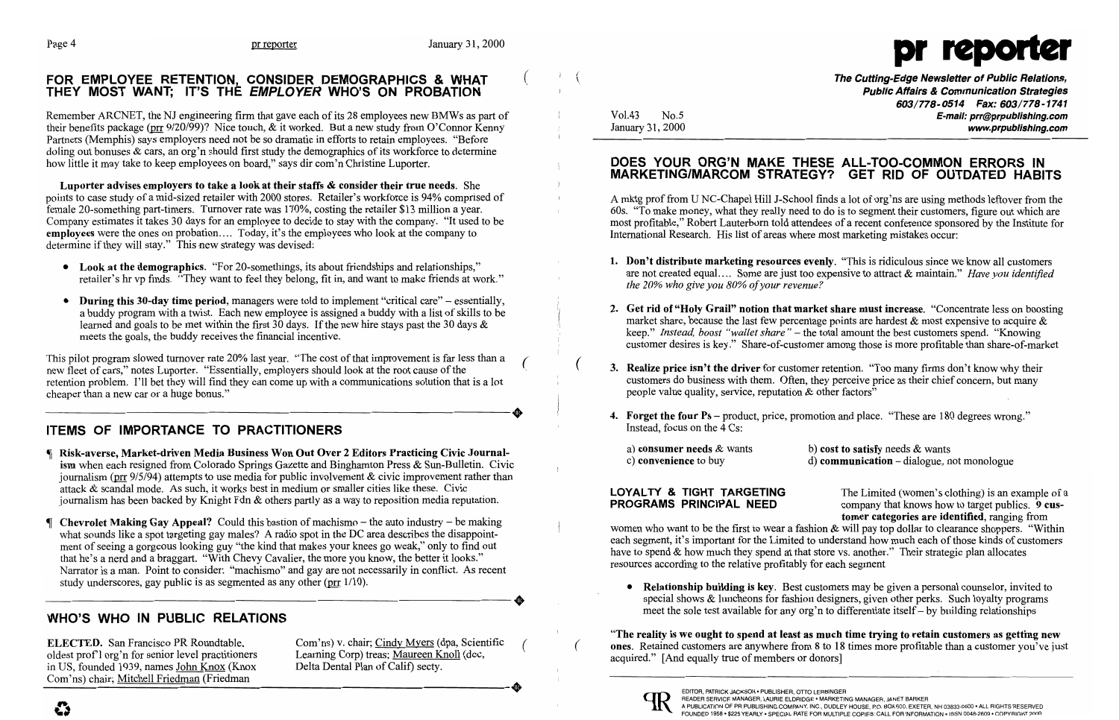### FOR EMPLOYEE RETENTION, CONSIDER DEMOGRAPHICS & WHAT (The Cutting-Edge Newsletter of Public Relations, THEY MOST WANT; IT'S THE EMPLOYER WHO'S ON PROBATION **Public Affairs & Communication Strategies**

Remember ARCNET, the NJ engineering firm that gave each of its 28 employees new BMWs as part of Vol.43 No.5 **E-mail: prr@prpublishing.com** their benefits package (pr 9/20/99)? Nice touch, & it worked. But a new study from O'Connor Kenny January 31, 2000 Partners (Memphis) says employers need not be so dramatic in efforts to retain employees. "Before doling out bonuses & cars, an org'n should first study the demographics of its workforce to determine how little it may take to keep employees on board," says dir com'n Christine Luporter. DOES YOUR ORG'N MAKE THESE ALL-TOO-COMMON ERRORS IN



603/778-0514 Fax: 603/778-1741

st to satisfy needs  $\&$  wants

• **Relationship building is key.** Best customers may be given a personal counselor, invited to special shows & luncheons for fashion designers, given other perks. Such loyalty programs

Luporter advises employers to take a look at their staffs & consider their true needs. She points to case study of a mid-sized retailer with 2000 stores. Retailer's workforce is 94% comprised of A mktg prof from U NC-Chapel Hill J-School finds a lot of org'ns are using methods leftover from the female 20-something part-timers. Turnover rate was 170%, costing the retailer \$13 million a year.<br>
Company estimates it takes 30 days for an employee to decide to stay with the company. "It used to be most profitable." Rob employees were the ones on probation.... Today, it's the employees who look at the company to International Research. His list of areas where most marketing mistakes occur: determine if they will stay." This new strategy was devised:

- Look at the demographics. "For 20-somethings, its about friendships and relationships,"<br>retailer's hr vp finds. "They want to feel they belong, fit in, and want to make friends at work."<br>retailer's hr vp finds. "They wan
- During this 30-day time period, managers were told to implement "critical care" essentially,<br>a buddy program with a twist. Each new employee is assigned a buddy with a list of skills to be<br>learned and goals to be met w meets the goals, the buddy receives the financial incentive.<br>
wallet share" – the total amount the best customers spend. "Knowing<br>
customer desires is key." Share-of-customer among those is more profitable than share-of-ma

This pilot program slowed turnover rate 20% last year. "The cost of that improvement is far less than a<br>new fleet of cars," notes Luporter. "Essentially, employers should look at the root cause of the<br>for the section and t retention problem. I'll bet they will find they can come up with a communications solution that is a lot customers do business with them. Often, they perceive price as their chief concern, but many cheaper than a new car or a huge bonus." people value quality, service, reputation & other factors"

### ITEMS OF IMPORTANCE TO PRACTITIONERS **Instead, focus on the 4 Cs:**

- In Risk-averse, Market-driven Media Business Won Out Over 2 Editors Practicing Civic Journal-<br>
ism when each resigned from Colorado Springs Gazette and Binghamton Press & Sun-Bulletin. Civic Civic Convenience to buy d) com journalism (pr  $9/5/94$ ) attempts to use media for public involvement & civic improvement rather than attack & scandal mode. As such, it works best in medium or smaller cities like these. Civic-
- What sounds like a spot targeting gay males? A radio spot in the DC area describes the disappoint-<br>what sounds like a spot targeting gay males? A radio spot in the DC area describes the disappoint-<br>ment of seeing a gorgeou study underscores, gay public is as segmented as any other ( $\text{prr}$  1/10).

## meet the sole test available for any org'n to differentiate itself- by building relationships meet the sole test available for any org'n to differentiate itself- by building relationships

# MARKETING/MARCOM STRATEGY? GET RID OF OUTDATED HABITS

most profitable," Robert Lauterborn told attendees of a recent conference sponsored by the Institute for

- 
- 
- 
- 4. Forget the four Ps product, price, promotion and place. "These are 180 degrees wrong."

| a) consumer needs $\&$ wants | $b)$ co.  |
|------------------------------|-----------|
| c) convenience to buy        | $d$ ) co: |

divided with the Limited (women's clothing) is an example of a<br>journalism has been backed by Knight Fdn & others partly as a way to reposition media reputation.<br>**PROGRAMS PRINCIPAL NEED** company that knows how to target pu tomer categories are identified, ranging from

ELECTED. San Francisco PR Roundtable, Com'ns) v. chair; Cindy Myers (dpa, Scientific (The reality is we ought to spend at least as much time trying to retain customers as getting new oldest prof'l org'n for senior level pr



Com'ns) chair; Mitchell Friedman (Friedman ----------------------+ EDITOR, PATRICK JACKSON • PUBLISHER, orro LERBINGER